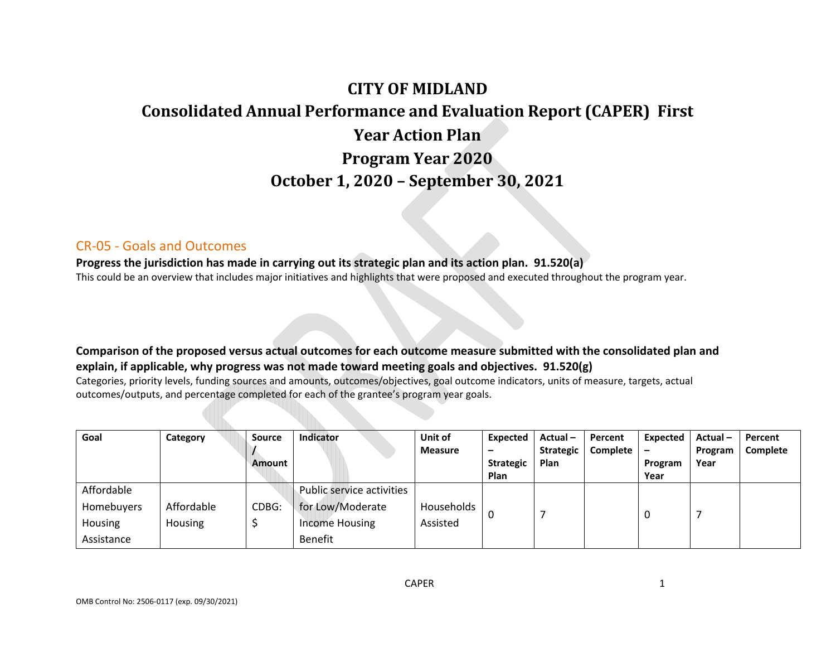# **CITY OF MIDLANDConsolidated Annual Performance and Evaluation Report (CAPER) First Year Action Plan Program Year 2020 October 1, 2020 – September 30, 2021**

#### CR‐05 ‐ Goals and Outcomes

**Progress the jurisdiction has made in carrying out its strategic plan and its action plan. 91.520(a)** This could be an overview that includes major initiatives and highlights that were proposed and executed throughout the program year.

**Comparison of the proposed versus actual outcomes for each outcome measure submitted with the consolidated plan and explain, if applicable, why progress was not made toward meeting goals and objectives. 91.520(g)** 

Categories, priority levels, funding sources and amounts, outcomes/objectives, goal outcome indicators, units of measure, targets, actual outcomes/outputs, and percentage completed for each of the grantee's program year goals.

| Goal                                                     | Category              | <b>Source</b><br>Amount | Indicator                                                                         | Unit of<br><b>Measure</b> | Expected<br>-<br><b>Strategic</b><br><b>Plan</b> | Actual-<br><b>Strategic</b><br>Plan | Percent<br>Complete | Expected<br>Program<br>Year | Actual-<br>Program<br>Year | Percent<br><b>Complete</b> |
|----------------------------------------------------------|-----------------------|-------------------------|-----------------------------------------------------------------------------------|---------------------------|--------------------------------------------------|-------------------------------------|---------------------|-----------------------------|----------------------------|----------------------------|
| Affordable<br><b>Homebuyers</b><br>Housing<br>Assistance | Affordable<br>Housing | CDBG:                   | Public service activities<br>for Low/Moderate<br><b>Income Housing</b><br>Benefit | Households<br>Assisted    |                                                  |                                     |                     | 0                           |                            |                            |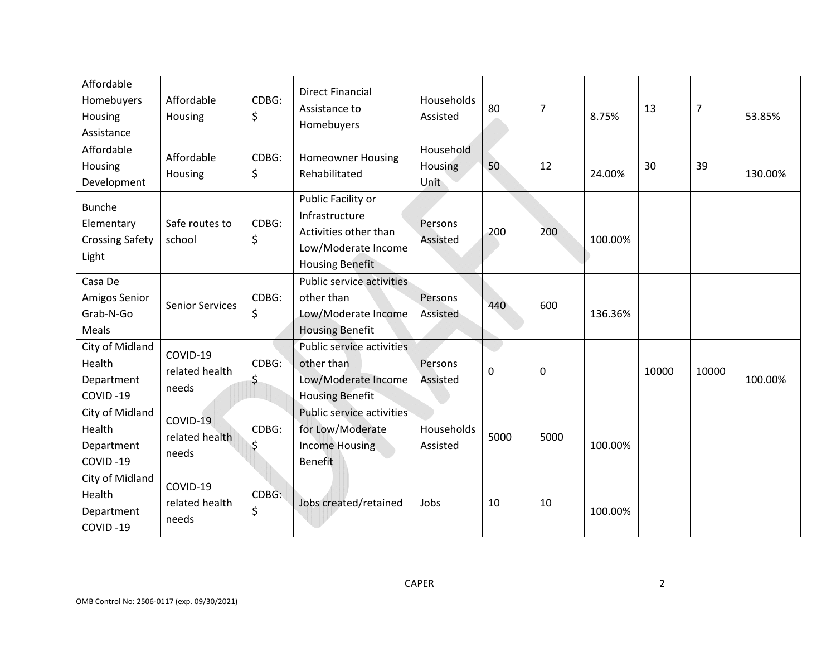| Affordable<br>Homebuyers<br>Housing<br>Assistance              | Affordable<br>Housing               | CDBG:<br>\$ | <b>Direct Financial</b><br>Assistance to<br>Homebuyers                                                         | Households<br>Assisted       | 80   | 7    | 8.75%   | 13    | $\overline{7}$ | 53.85%  |
|----------------------------------------------------------------|-------------------------------------|-------------|----------------------------------------------------------------------------------------------------------------|------------------------------|------|------|---------|-------|----------------|---------|
| Affordable<br>Housing<br>Development                           | Affordable<br>Housing               | CDBG:<br>\$ | <b>Homeowner Housing</b><br>Rehabilitated                                                                      | Household<br>Housing<br>Unit | 50   | 12   | 24.00%  | 30    | 39             | 130.00% |
| <b>Bunche</b><br>Elementary<br><b>Crossing Safety</b><br>Light | Safe routes to<br>school            | CDBG:<br>\$ | Public Facility or<br>Infrastructure<br>Activities other than<br>Low/Moderate Income<br><b>Housing Benefit</b> | Persons<br>Assisted          | 200  | 200  | 100.00% |       |                |         |
| Casa De<br>Amigos Senior<br>Grab-N-Go<br>Meals                 | <b>Senior Services</b>              | CDBG:<br>\$ | <b>Public service activities</b><br>other than<br>Low/Moderate Income<br><b>Housing Benefit</b>                | Persons<br>Assisted          | 440  | 600  | 136.36% |       |                |         |
| City of Midland<br>Health<br>Department<br>COVID-19            | COVID-19<br>related health<br>needs | CDBG:<br>\$ | Public service activities<br>other than<br>Low/Moderate Income<br><b>Housing Benefit</b>                       | Persons<br>Assisted          | 0    | 0    |         | 10000 | 10000          | 100.00% |
| City of Midland<br>Health<br>Department<br>COVID-19            | COVID-19<br>related health<br>needs | CDBG:<br>\$ | <b>Public service activities</b><br>for Low/Moderate<br><b>Income Housing</b><br><b>Benefit</b>                | Households<br>Assisted       | 5000 | 5000 | 100.00% |       |                |         |
| City of Midland<br>Health<br>Department<br>COVID-19            | COVID-19<br>related health<br>needs | CDBG:<br>\$ | Jobs created/retained                                                                                          | Jobs                         | 10   | 10   | 100.00% |       |                |         |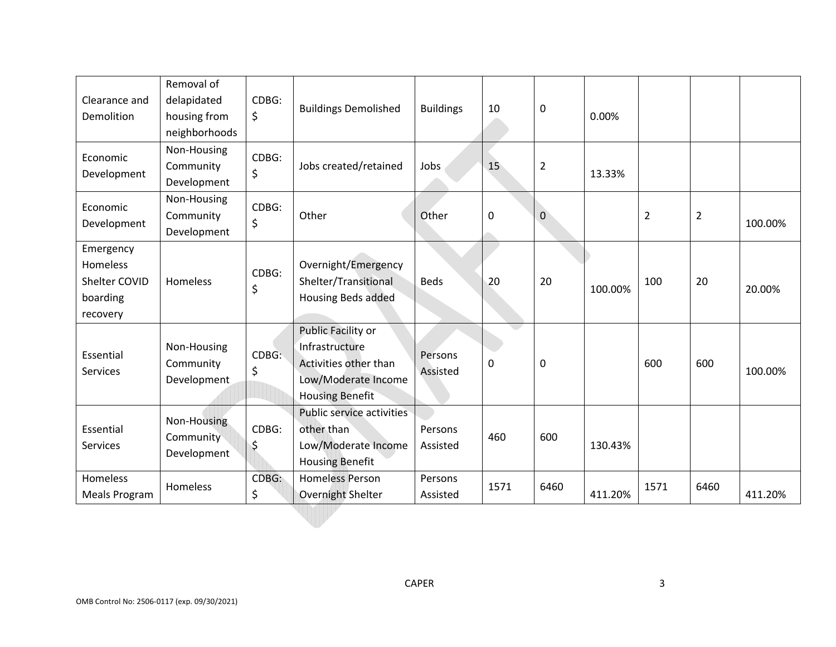| Clearance and<br>Demolition                                    | Removal of<br>delapidated<br>housing from<br>neighborhoods | CDBG:<br>\$ | <b>Buildings Demolished</b>                                                                                    | <b>Buildings</b>    | 10   | $\pmb{0}$      | 0.00%   |                |                |         |
|----------------------------------------------------------------|------------------------------------------------------------|-------------|----------------------------------------------------------------------------------------------------------------|---------------------|------|----------------|---------|----------------|----------------|---------|
| Economic<br>Development                                        | Non-Housing<br>Community<br>Development                    | CDBG:<br>\$ | Jobs created/retained                                                                                          | Jobs                | 15   | $\overline{2}$ | 13.33%  |                |                |         |
| Economic<br>Development                                        | Non-Housing<br>Community<br>Development                    | CDBG:<br>\$ | Other                                                                                                          | Other               | 0    | $\mathbf{0}$   |         | $\overline{2}$ | $\overline{2}$ | 100.00% |
| Emergency<br>Homeless<br>Shelter COVID<br>boarding<br>recovery | Homeless                                                   | CDBG:<br>\$ | Overnight/Emergency<br>Shelter/Transitional<br><b>Housing Beds added</b>                                       | <b>Beds</b>         | 20   | 20             | 100.00% | 100            | 20             | 20.00%  |
| Essential<br>Services                                          | Non-Housing<br>Community<br>Development                    | CDBG:<br>\$ | Public Facility or<br>Infrastructure<br>Activities other than<br>Low/Moderate Income<br><b>Housing Benefit</b> | Persons<br>Assisted | 0    | $\mathbf 0$    |         | 600            | 600            | 100.00% |
| Essential<br>Services                                          | Non-Housing<br>Community<br>Development                    | CDBG:<br>\$ | <b>Public service activities</b><br>other than<br>Low/Moderate Income<br><b>Housing Benefit</b>                | Persons<br>Assisted | 460  | 600            | 130.43% |                |                |         |
| Homeless<br><b>Meals Program</b>                               | Homeless                                                   | CDBG:<br>\$ | <b>Homeless Person</b><br>Overnight Shelter                                                                    | Persons<br>Assisted | 1571 | 6460           | 411.20% | 1571           | 6460           | 411.20% |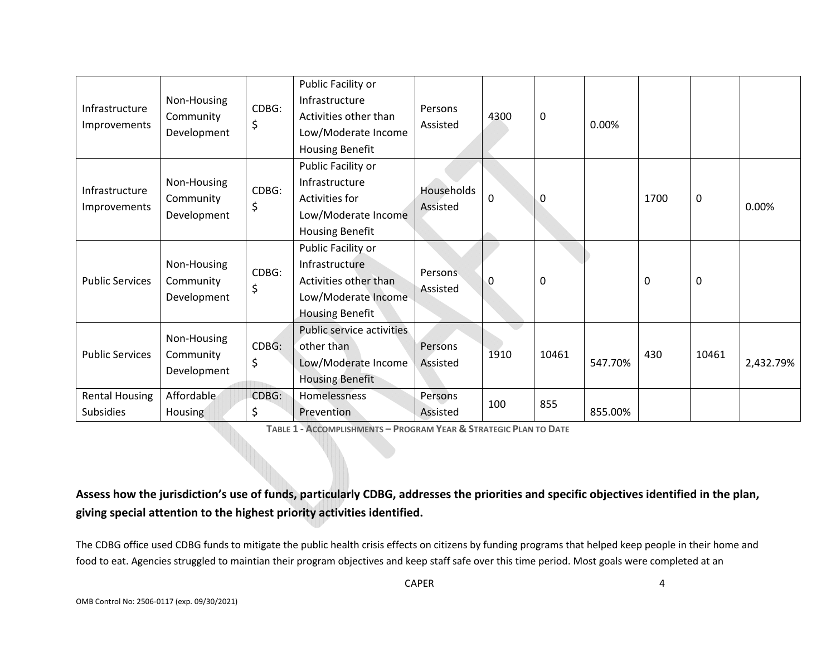| Infrastructure<br>Improvements            | Non-Housing<br>Community<br>Development | CDBG:<br>\$ | Public Facility or<br>Infrastructure<br>Activities other than<br>Low/Moderate Income<br><b>Housing Benefit</b> | Persons<br>Assisted        | 4300         | 0     | 0.00%   |          |             |           |
|-------------------------------------------|-----------------------------------------|-------------|----------------------------------------------------------------------------------------------------------------|----------------------------|--------------|-------|---------|----------|-------------|-----------|
| Infrastructure<br>Improvements            | Non-Housing<br>Community<br>Development | CDBG:<br>\$ | Public Facility or<br>Infrastructure<br>Activities for<br>Low/Moderate Income<br><b>Housing Benefit</b>        | Households<br>Assisted     | $\mathbf{0}$ | 0     |         | 1700     | $\mathbf 0$ | 0.00%     |
| <b>Public Services</b>                    | Non-Housing<br>Community<br>Development | CDBG:<br>\$ | Public Facility or<br>Infrastructure<br>Activities other than<br>Low/Moderate Income<br><b>Housing Benefit</b> | <b>Persons</b><br>Assisted | 0            | 0     |         | $\Omega$ | 0           |           |
| <b>Public Services</b>                    | Non-Housing<br>Community<br>Development | CDBG:<br>\$ | Public service activities<br>other than<br>Low/Moderate Income<br><b>Housing Benefit</b>                       | Persons<br>Assisted        | 1910         | 10461 | 547.70% | 430      | 10461       | 2,432.79% |
| <b>Rental Housing</b><br><b>Subsidies</b> | Affordable<br><b>Housing</b>            | CDBG:<br>\$ | Homelessness<br>Prevention                                                                                     | Persons<br>Assisted        | 100          | 855   | 855.00% |          |             |           |

**TABLE 1 ‐ ACCOMPLISHMENTS – PROGRAM YEAR & STRATEGIC PLAN TO DATE**

# **Assess how the jurisdiction's use of funds, particularly CDBG, addresses the priorities and specific objectives identified in the plan, giving special attention to the highest priority activities identified.**

The CDBG office used CDBG funds to mitigate the public health crisis effects on citizens by funding programs that helped keep people in their home and food to eat. Agencies struggled to maintian their program objectives and keep staff safe over this time period. Most goals were completed at an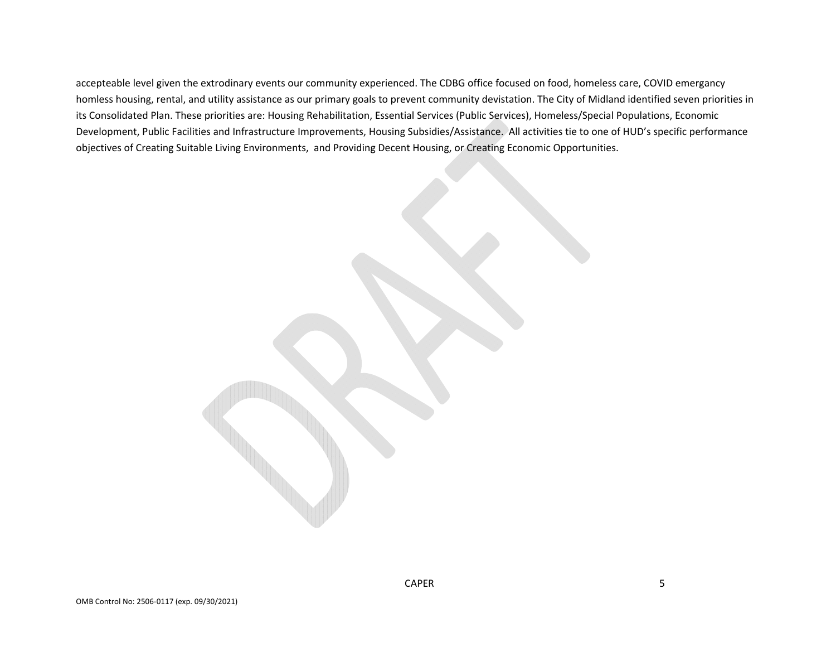accepteable level given the extrodinary events our community experienced. The CDBG office focused on food, homeless care, COVID emergancy homless housing, rental, and utility assistance as our primary goals to prevent community devistation. The City of Midland identified seven priorities in its Consolidated Plan. These priorities are: Housing Rehabilitation, Essential Services (Public Services), Homeless/Special Populations, Economic Development, Public Facilities and Infrastructure Improvements, Housing Subsidies/Assistance. All activities tie to one of HUD's specific performance objectives of Creating Suitable Living Environments, and Providing Decent Housing, or Creating Economic Opportunities.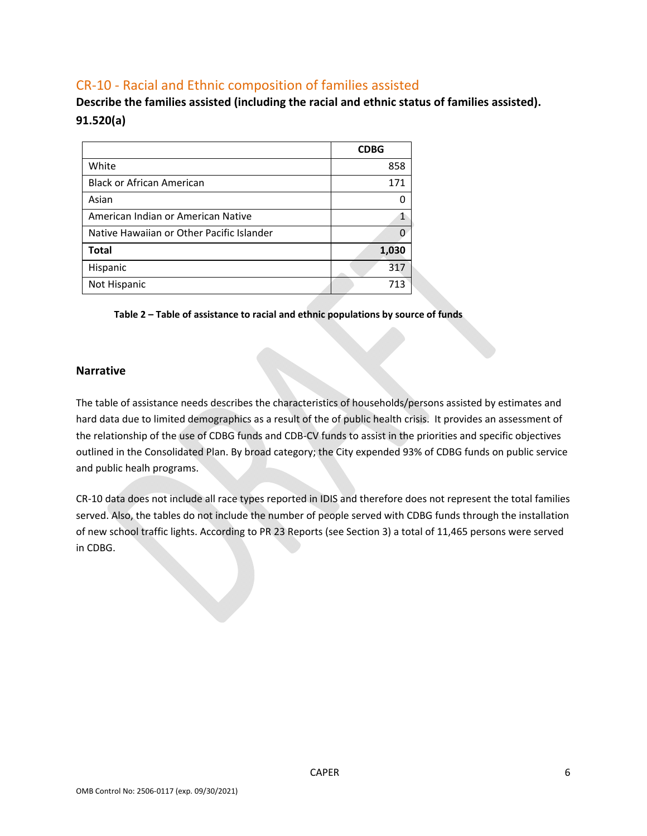# CR‐10 ‐ Racial and Ethnic composition of families assisted

**Describe the families assisted (including the racial and ethnic status of families assisted). 91.520(a)** 

|                                           | <b>CDBG</b> |
|-------------------------------------------|-------------|
| White                                     | 858         |
| <b>Black or African American</b>          | 171         |
| Asian                                     | 0           |
| American Indian or American Native        | 1           |
| Native Hawaiian or Other Pacific Islander |             |
| <b>Total</b>                              | 1,030       |
| Hispanic                                  | 317         |
| Not Hispanic                              | 713         |

**Table 2 – Table of assistance to racial and ethnic populations by source of funds** 

#### **Narrative**

The table of assistance needs describes the characteristics of households/persons assisted by estimates and hard data due to limited demographics as a result of the of public health crisis. It provides an assessment of the relationship of the use of CDBG funds and CDB‐CV funds to assist in the priorities and specific objectives outlined in the Consolidated Plan. By broad category; the City expended 93% of CDBG funds on public service and public healh programs.

CR‐10 data does not include all race types reported in IDIS and therefore does not represent the total families served. Also, the tables do not include the number of people served with CDBG funds through the installation of new school traffic lights. According to PR 23 Reports (see Section 3) a total of 11,465 persons were served in CDBG.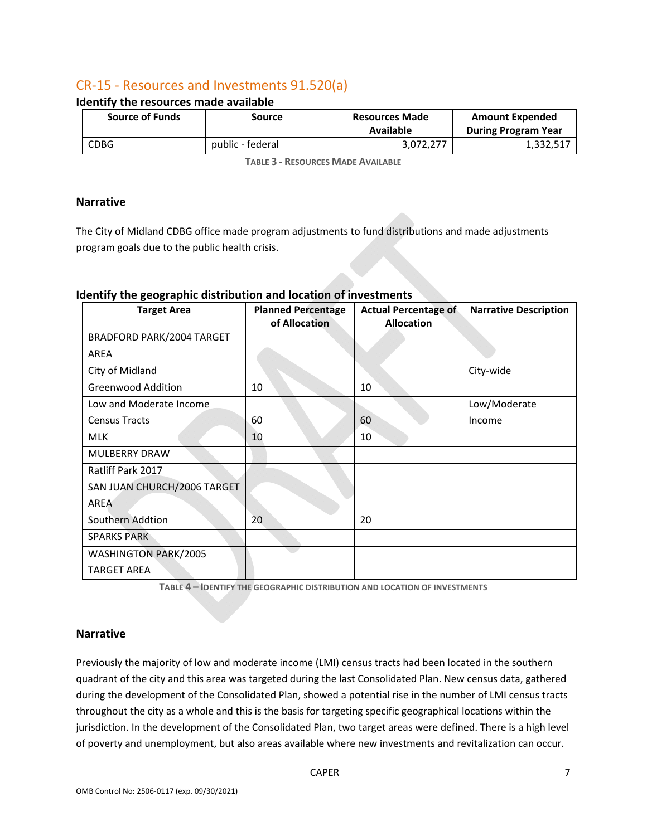# CR‐15 ‐ Resources and Investments 91.520(a)

| <b>Source of Funds</b> | Source           | <b>Resources Made</b><br>Available | <b>Amount Expended</b><br><b>During Program Year</b> |  |
|------------------------|------------------|------------------------------------|------------------------------------------------------|--|
| CDBG                   | public - federal | 3,072,277                          | 1,332,517                                            |  |

**Identify the resources made available** 

**TABLE 3 ‐ RESOURCES MADE AVAILABLE**

#### **Narrative**

The City of Midland CDBG office made program adjustments to fund distributions and made adjustments program goals due to the public health crisis.

| <b>Target Area</b>          | <b>Planned Percentage</b><br>of Allocation | <b>Actual Percentage of</b><br><b>Allocation</b> | <b>Narrative Description</b> |
|-----------------------------|--------------------------------------------|--------------------------------------------------|------------------------------|
| BRADFORD PARK/2004 TARGET   |                                            |                                                  |                              |
| AREA                        |                                            |                                                  |                              |
| City of Midland             |                                            |                                                  | City-wide                    |
| <b>Greenwood Addition</b>   | 10                                         | 10                                               |                              |
| Low and Moderate Income     |                                            |                                                  | Low/Moderate                 |
| <b>Census Tracts</b>        | 60                                         | 60                                               | Income                       |
| <b>MLK</b>                  | 10                                         | 10                                               |                              |
| MULBERRY DRAW               |                                            |                                                  |                              |
| Ratliff Park 2017           |                                            |                                                  |                              |
| SAN JUAN CHURCH/2006 TARGET |                                            |                                                  |                              |
| <b>AREA</b>                 |                                            |                                                  |                              |
| Southern Addtion            | 20                                         | 20                                               |                              |
| <b>SPARKS PARK</b>          |                                            |                                                  |                              |
| WASHINGTON PARK/2005        |                                            |                                                  |                              |
| <b>TARGET AREA</b>          |                                            |                                                  |                              |

#### **Identify the geographic distribution and location of investments**

**TABLE 4 – IDENTIFY THE GEOGRAPHIC DISTRIBUTION AND LOCATION OF INVESTMENTS**

#### **Narrative**

Previously the majority of low and moderate income (LMI) census tracts had been located in the southern quadrant of the city and this area was targeted during the last Consolidated Plan. New census data, gathered during the development of the Consolidated Plan, showed a potential rise in the number of LMI census tracts throughout the city as a whole and this is the basis for targeting specific geographical locations within the jurisdiction. In the development of the Consolidated Plan, two target areas were defined. There is a high level of poverty and unemployment, but also areas available where new investments and revitalization can occur.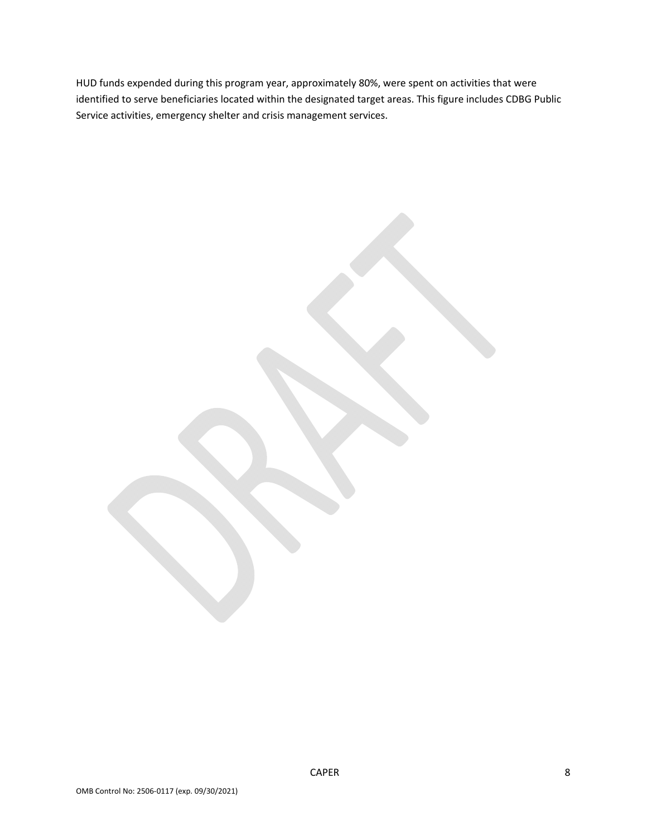HUD funds expended during this program year, approximately 80%, were spent on activities that were identified to serve beneficiaries located within the designated target areas. This figure includes CDBG Public Service activities, emergency shelter and crisis management services.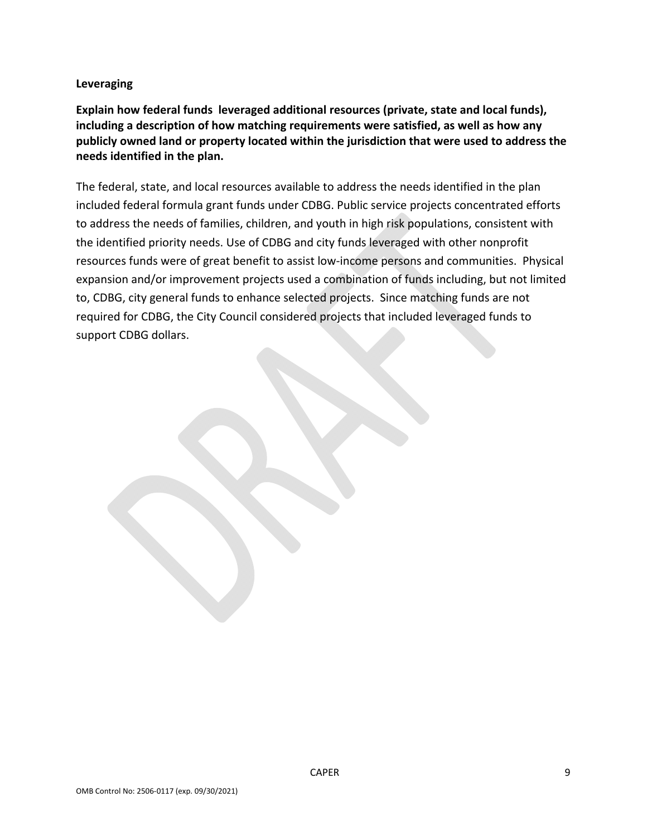#### **Leveraging**

**Explain how federal funds leveraged additional resources (private, state and local funds), including a description of how matching requirements were satisfied, as well as how any publicly owned land or property located within the jurisdiction that were used to address the needs identified in the plan.** 

The federal, state, and local resources available to address the needs identified in the plan included federal formula grant funds under CDBG. Public service projects concentrated efforts to address the needs of families, children, and youth in high risk populations, consistent with the identified priority needs. Use of CDBG and city funds leveraged with other nonprofit resources funds were of great benefit to assist low‐income persons and communities. Physical expansion and/or improvement projects used a combination of funds including, but not limited to, CDBG, city general funds to enhance selected projects. Since matching funds are not required for CDBG, the City Council considered projects that included leveraged funds to support CDBG dollars.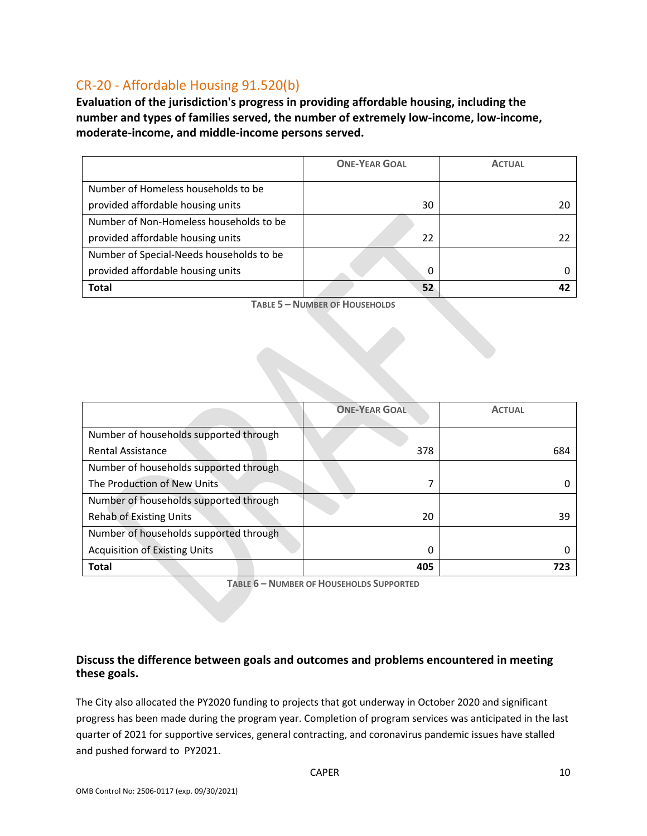# CR‐20 ‐ Affordable Housing 91.520(b)

**Evaluation of the jurisdiction's progress in providing affordable housing, including the number and types of families served, the number of extremely low‐income, low‐income, moderate‐income, and middle‐income persons served.** 

|                                          | <b>ONE-YEAR GOAL</b> | <b>ACTUAL</b> |
|------------------------------------------|----------------------|---------------|
| Number of Homeless households to be      |                      |               |
| provided affordable housing units        | 30                   |               |
| Number of Non-Homeless households to be  |                      |               |
| provided affordable housing units        | 22                   |               |
| Number of Special-Needs households to be |                      |               |
| provided affordable housing units        | 0                    |               |
| <b>Total</b>                             | 52                   |               |

**TABLE 5 – NUMBER OF HOUSEHOLDS**

|                                        | <b>ONE-YEAR GOAL</b> | <b>ACTUAL</b> |
|----------------------------------------|----------------------|---------------|
| Number of households supported through |                      |               |
| <b>Rental Assistance</b>               | 378                  | 684           |
| Number of households supported through |                      |               |
| The Production of New Units            |                      |               |
| Number of households supported through |                      |               |
| Rehab of Existing Units                | 20                   | 39            |
| Number of households supported through |                      |               |
| <b>Acquisition of Existing Units</b>   | $\Omega$             | Ω             |
| <b>Total</b>                           | 405                  |               |

**TABLE 6 – NUMBER OF HOUSEHOLDS SUPPORTED**

#### **Discuss the difference between goals and outcomes and problems encountered in meeting these goals.**

The City also allocated the PY2020 funding to projects that got underway in October 2020 and significant progress has been made during the program year. Completion of program services was anticipated in the last quarter of 2021 for supportive services, general contracting, and coronavirus pandemic issues have stalled and pushed forward to PY2021.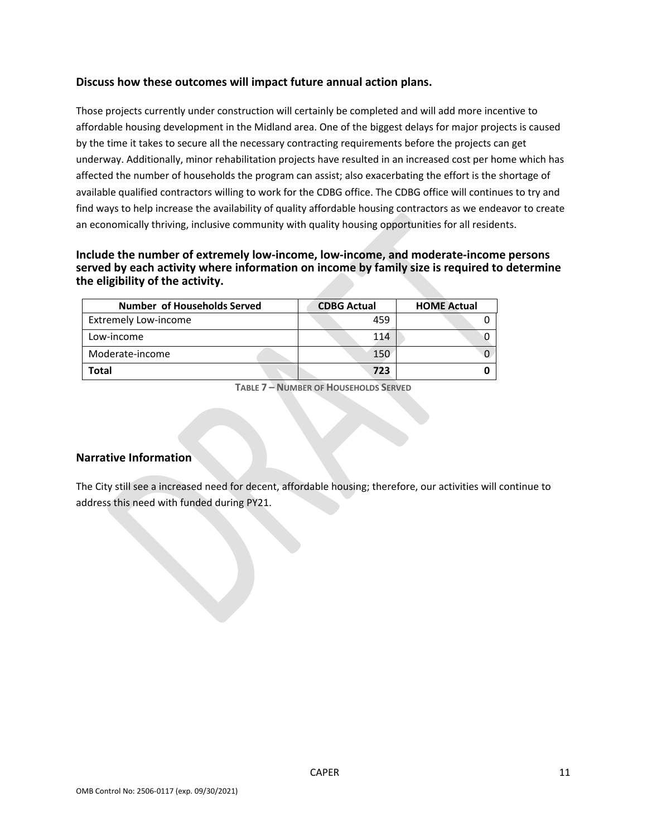#### **Discuss how these outcomes will impact future annual action plans.**

Those projects currently under construction will certainly be completed and will add more incentive to affordable housing development in the Midland area. One of the biggest delays for major projects is caused by the time it takes to secure all the necessary contracting requirements before the projects can get underway. Additionally, minor rehabilitation projects have resulted in an increased cost per home which has affected the number of households the program can assist; also exacerbating the effort is the shortage of available qualified contractors willing to work for the CDBG office. The CDBG office will continues to try and find ways to help increase the availability of quality affordable housing contractors as we endeavor to create an economically thriving, inclusive community with quality housing opportunities for all residents.

**Include the number of extremely low‐income, low‐income, and moderate‐income persons served by each activity where information on income by family size is required to determine the eligibility of the activity.** 

| Number of Households Served | <b>CDBG Actual</b> | <b>HOME Actual</b> |
|-----------------------------|--------------------|--------------------|
| Extremely Low-income        | 459                |                    |
| Low-income                  | 114                |                    |
| Moderate-income             | 150                |                    |
| Total                       | 723                |                    |

**TABLE 7 – NUMBER OF HOUSEHOLDS SERVED**

#### **Narrative Information**

The City still see a increased need for decent, affordable housing; therefore, our activities will continue to address this need with funded during PY21.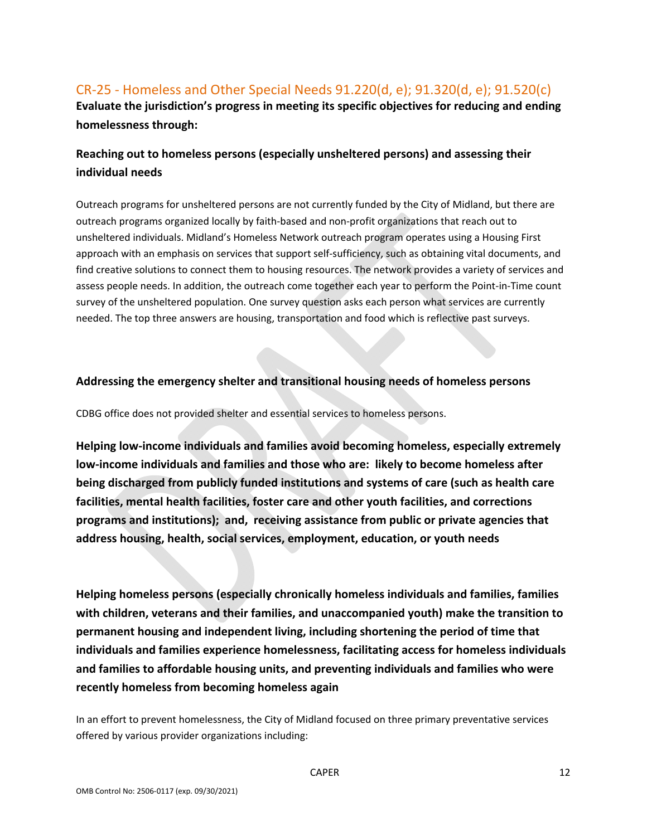# CR‐25 ‐ Homeless and Other Special Needs 91.220(d, e); 91.320(d, e); 91.520(c) **Evaluate the jurisdiction's progress in meeting its specific objectives for reducing and ending homelessness through:**

# **Reaching out to homeless persons (especially unsheltered persons) and assessing their individual needs**

Outreach programs for unsheltered persons are not currently funded by the City of Midland, but there are outreach programs organized locally by faith‐based and non‐profit organizations that reach out to unsheltered individuals. Midland's Homeless Network outreach program operates using a Housing First approach with an emphasis on services that support self‐sufficiency, such as obtaining vital documents, and find creative solutions to connect them to housing resources. The network provides a variety of services and assess people needs. In addition, the outreach come together each year to perform the Point‐in‐Time count survey of the unsheltered population. One survey question asks each person what services are currently needed. The top three answers are housing, transportation and food which is reflective past surveys.

#### **Addressing the emergency shelter and transitional housing needs of homeless persons**

CDBG office does not provided shelter and essential services to homeless persons.

**Helping low‐income individuals and families avoid becoming homeless, especially extremely low‐income individuals and families and those who are: likely to become homeless after being discharged from publicly funded institutions and systems of care (such as health care facilities, mental health facilities, foster care and other youth facilities, and corrections programs and institutions); and, receiving assistance from public or private agencies that address housing, health, social services, employment, education, or youth needs** 

**Helping homeless persons (especially chronically homeless individuals and families, families with children, veterans and their families, and unaccompanied youth) make the transition to permanent housing and independent living, including shortening the period of time that individuals and families experience homelessness, facilitating access for homeless individuals and families to affordable housing units, and preventing individuals and families who were recently homeless from becoming homeless again** 

In an effort to prevent homelessness, the City of Midland focused on three primary preventative services offered by various provider organizations including: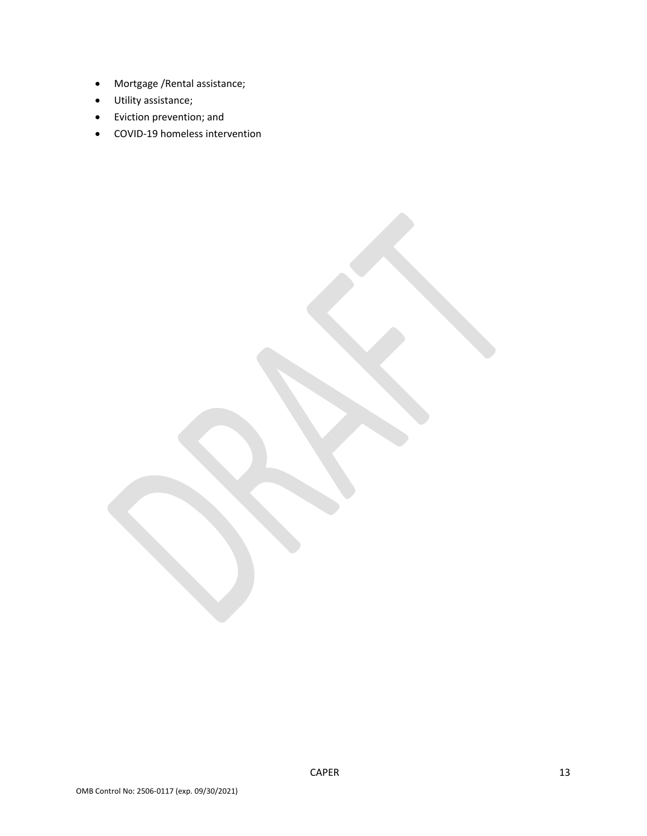- Mortgage /Rental assistance;
- Utility assistance;
- Eviction prevention; and
- COVID-19 homeless intervention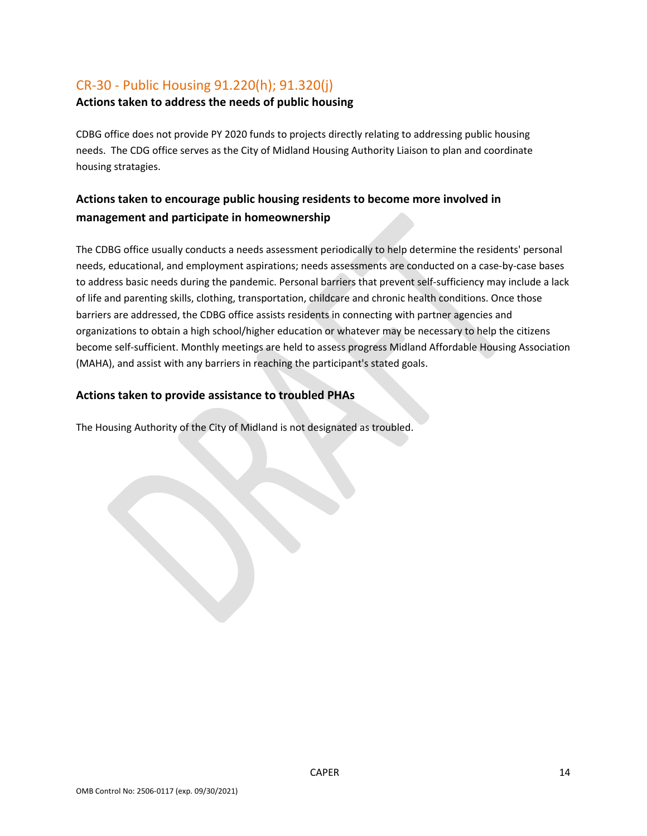# CR‐30 ‐ Public Housing 91.220(h); 91.320(j)

#### **Actions taken to address the needs of public housing**

CDBG office does not provide PY 2020 funds to projects directly relating to addressing public housing needs. The CDG office serves as the City of Midland Housing Authority Liaison to plan and coordinate housing stratagies.

# **Actions taken to encourage public housing residents to become more involved in management and participate in homeownership**

The CDBG office usually conducts a needs assessment periodically to help determine the residents' personal needs, educational, and employment aspirations; needs assessments are conducted on a case‐by‐case bases to address basic needs during the pandemic. Personal barriers that prevent self‐sufficiency may include a lack of life and parenting skills, clothing, transportation, childcare and chronic health conditions. Once those barriers are addressed, the CDBG office assists residents in connecting with partner agencies and organizations to obtain a high school/higher education or whatever may be necessary to help the citizens become self‐sufficient. Monthly meetings are held to assess progress Midland Affordable Housing Association (MAHA), and assist with any barriers in reaching the participant's stated goals.

#### **Actions taken to provide assistance to troubled PHAs**

The Housing Authority of the City of Midland is not designated as troubled.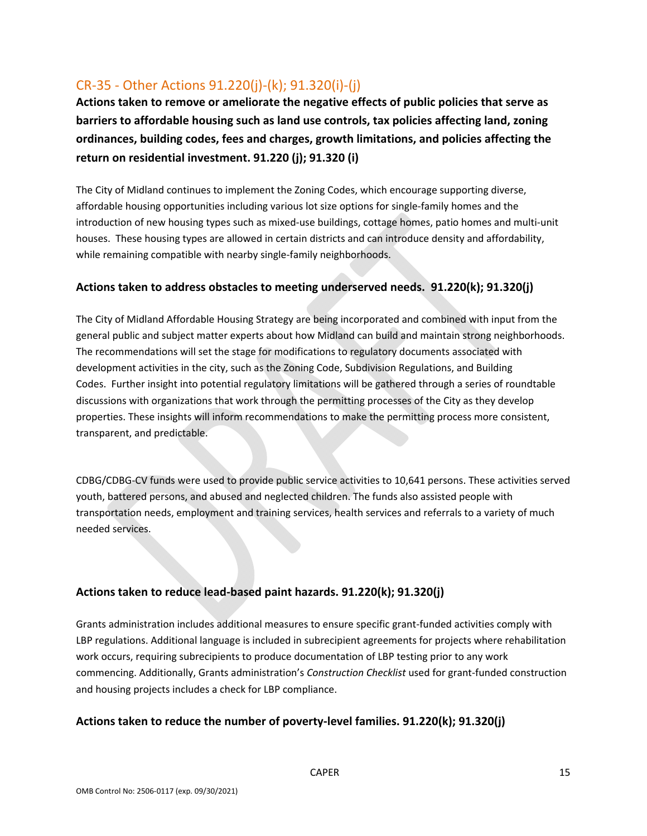# CR‐35 ‐ Other Actions 91.220(j)‐(k); 91.320(i)‐(j)

**Actions taken to remove or ameliorate the negative effects of public policies that serve as barriers to affordable housing such as land use controls, tax policies affecting land, zoning ordinances, building codes, fees and charges, growth limitations, and policies affecting the return on residential investment. 91.220 (j); 91.320 (i)** 

The City of Midland continues to implement the Zoning Codes, which encourage supporting diverse, affordable housing opportunities including various lot size options for single‐family homes and the introduction of new housing types such as mixed-use buildings, cottage homes, patio homes and multi-unit houses. These housing types are allowed in certain districts and can introduce density and affordability, while remaining compatible with nearby single‐family neighborhoods.

#### **Actions taken to address obstacles to meeting underserved needs. 91.220(k); 91.320(j)**

The City of Midland Affordable Housing Strategy are being incorporated and combined with input from the general public and subject matter experts about how Midland can build and maintain strong neighborhoods. The recommendations will set the stage for modifications to regulatory documents associated with development activities in the city, such as the Zoning Code, Subdivision Regulations, and Building Codes. Further insight into potential regulatory limitations will be gathered through a series of roundtable discussions with organizations that work through the permitting processes of the City as they develop properties. These insights will inform recommendations to make the permitting process more consistent, transparent, and predictable.

CDBG/CDBG‐CV funds were used to provide public service activities to 10,641 persons. These activities served youth, battered persons, and abused and neglected children. The funds also assisted people with transportation needs, employment and training services, health services and referrals to a variety of much needed services.

#### **Actions taken to reduce lead‐based paint hazards. 91.220(k); 91.320(j)**

Grants administration includes additional measures to ensure specific grant‐funded activities comply with LBP regulations. Additional language is included in subrecipient agreements for projects where rehabilitation work occurs, requiring subrecipients to produce documentation of LBP testing prior to any work commencing. Additionally, Grants administration's *Construction Checklist* used for grant‐funded construction and housing projects includes a check for LBP compliance.

#### **Actions taken to reduce the number of poverty‐level families. 91.220(k); 91.320(j)**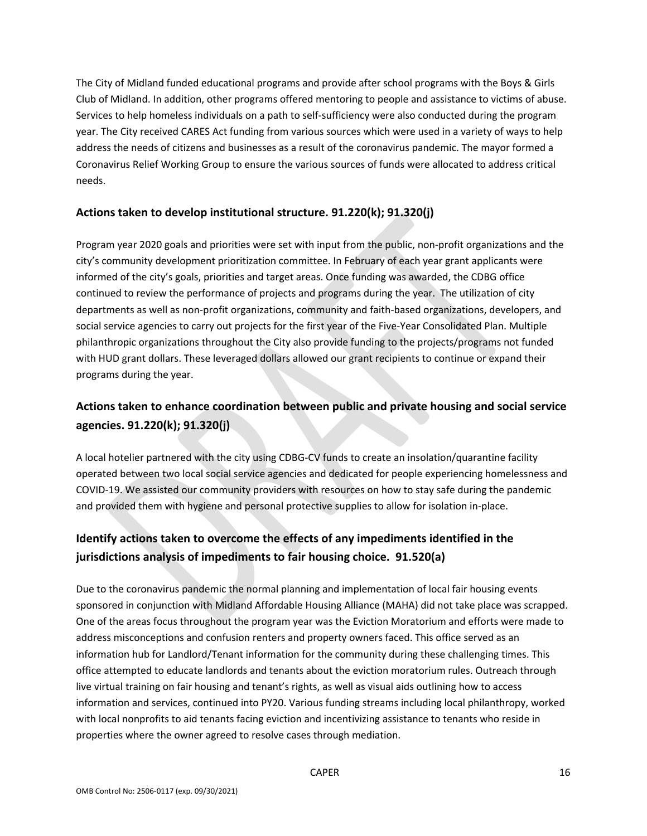The City of Midland funded educational programs and provide after school programs with the Boys & Girls Club of Midland. In addition, other programs offered mentoring to people and assistance to victims of abuse. Services to help homeless individuals on a path to self-sufficiency were also conducted during the program year. The City received CARES Act funding from various sources which were used in a variety of ways to help address the needs of citizens and businesses as a result of the coronavirus pandemic. The mayor formed a Coronavirus Relief Working Group to ensure the various sources of funds were allocated to address critical needs.

#### **Actions taken to develop institutional structure. 91.220(k); 91.320(j)**

Program year 2020 goals and priorities were set with input from the public, non‐profit organizations and the city's community development prioritization committee. In February of each year grant applicants were informed of the city's goals, priorities and target areas. Once funding was awarded, the CDBG office continued to review the performance of projects and programs during the year. The utilization of city departments as well as non‐profit organizations, community and faith‐based organizations, developers, and social service agencies to carry out projects for the first year of the Five-Year Consolidated Plan. Multiple philanthropic organizations throughout the City also provide funding to the projects/programs not funded with HUD grant dollars. These leveraged dollars allowed our grant recipients to continue or expand their programs during the year.

# **Actions taken to enhance coordination between public and private housing and social service agencies. 91.220(k); 91.320(j)**

A local hotelier partnered with the city using CDBG‐CV funds to create an insolation/quarantine facility operated between two local social service agencies and dedicated for people experiencing homelessness and COVID‐19. We assisted our community providers with resources on how to stay safe during the pandemic and provided them with hygiene and personal protective supplies to allow for isolation in‐place.

# **Identify actions taken to overcome the effects of any impediments identified in the jurisdictions analysis of impediments to fair housing choice. 91.520(a)**

Due to the coronavirus pandemic the normal planning and implementation of local fair housing events sponsored in conjunction with Midland Affordable Housing Alliance (MAHA) did not take place was scrapped. One of the areas focus throughout the program year was the Eviction Moratorium and efforts were made to address misconceptions and confusion renters and property owners faced. This office served as an information hub for Landlord/Tenant information for the community during these challenging times. This office attempted to educate landlords and tenants about the eviction moratorium rules. Outreach through live virtual training on fair housing and tenant's rights, as well as visual aids outlining how to access information and services, continued into PY20. Various funding streams including local philanthropy, worked with local nonprofits to aid tenants facing eviction and incentivizing assistance to tenants who reside in properties where the owner agreed to resolve cases through mediation.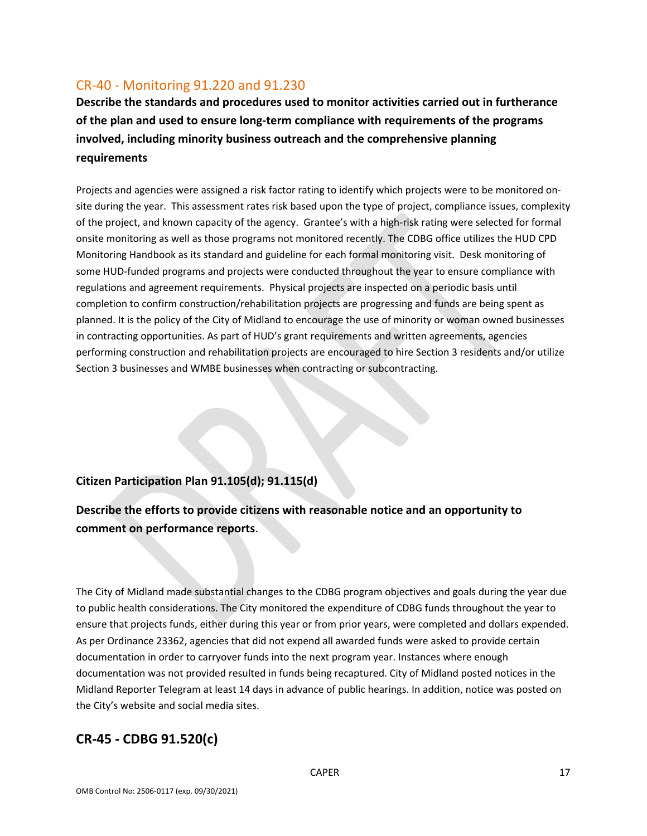### CR‐40 ‐ Monitoring 91.220 and 91.230

**Describe the standards and procedures used to monitor activities carried out in furtherance of the plan and used to ensure long‐term compliance with requirements of the programs involved, including minority business outreach and the comprehensive planning requirements** 

Projects and agencies were assigned a risk factor rating to identify which projects were to be monitored on‐ site during the year. This assessment rates risk based upon the type of project, compliance issues, complexity of the project, and known capacity of the agency. Grantee's with a high‐risk rating were selected for formal onsite monitoring as well as those programs not monitored recently. The CDBG office utilizes the HUD CPD Monitoring Handbook as its standard and guideline for each formal monitoring visit. Desk monitoring of some HUD-funded programs and projects were conducted throughout the year to ensure compliance with regulations and agreement requirements. Physical projects are inspected on a periodic basis until completion to confirm construction/rehabilitation projects are progressing and funds are being spent as planned. It is the policy of the City of Midland to encourage the use of minority or woman owned businesses in contracting opportunities. As part of HUD's grant requirements and written agreements, agencies performing construction and rehabilitation projects are encouraged to hire Section 3 residents and/or utilize Section 3 businesses and WMBE businesses when contracting or subcontracting.

#### **Citizen Participation Plan 91.105(d); 91.115(d)**

# **Describe the efforts to provide citizens with reasonable notice and an opportunity to comment on performance reports**.

The City of Midland made substantial changes to the CDBG program objectives and goals during the year due to public health considerations. The City monitored the expenditure of CDBG funds throughout the year to ensure that projects funds, either during this year or from prior years, were completed and dollars expended. As per Ordinance 23362, agencies that did not expend all awarded funds were asked to provide certain documentation in order to carryover funds into the next program year. Instances where enough documentation was not provided resulted in funds being recaptured. City of Midland posted notices in the Midland Reporter Telegram at least 14 days in advance of public hearings. In addition, notice was posted on the City's website and social media sites.

### **CR‐45 ‐ CDBG 91.520(c)**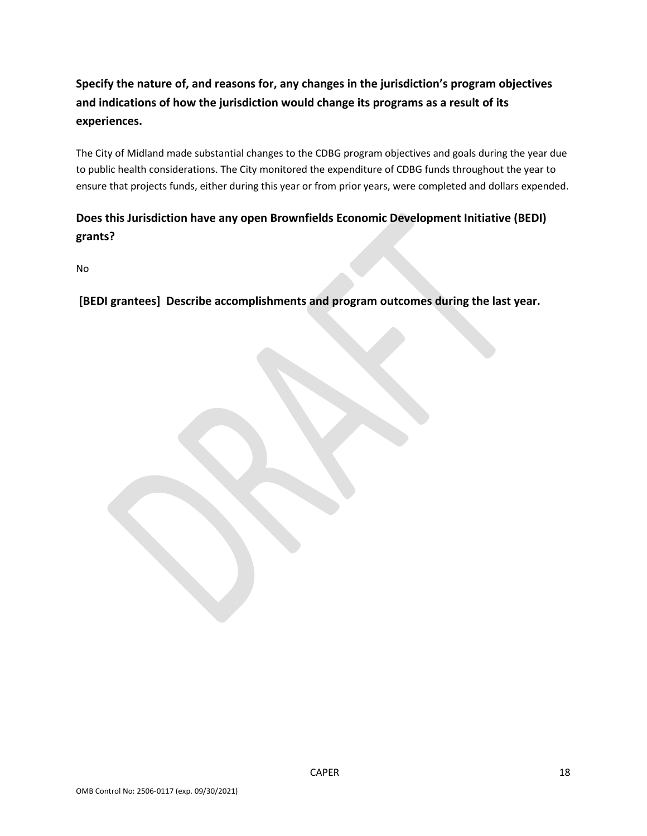# **Specify the nature of, and reasons for, any changes in the jurisdiction's program objectives and indications of how the jurisdiction would change its programs as a result of its experiences.**

The City of Midland made substantial changes to the CDBG program objectives and goals during the year due to public health considerations. The City monitored the expenditure of CDBG funds throughout the year to ensure that projects funds, either during this year or from prior years, were completed and dollars expended.

# **Does this Jurisdiction have any open Brownfields Economic Development Initiative (BEDI) grants?**

No

 **[BEDI grantees] Describe accomplishments and program outcomes during the last year.**